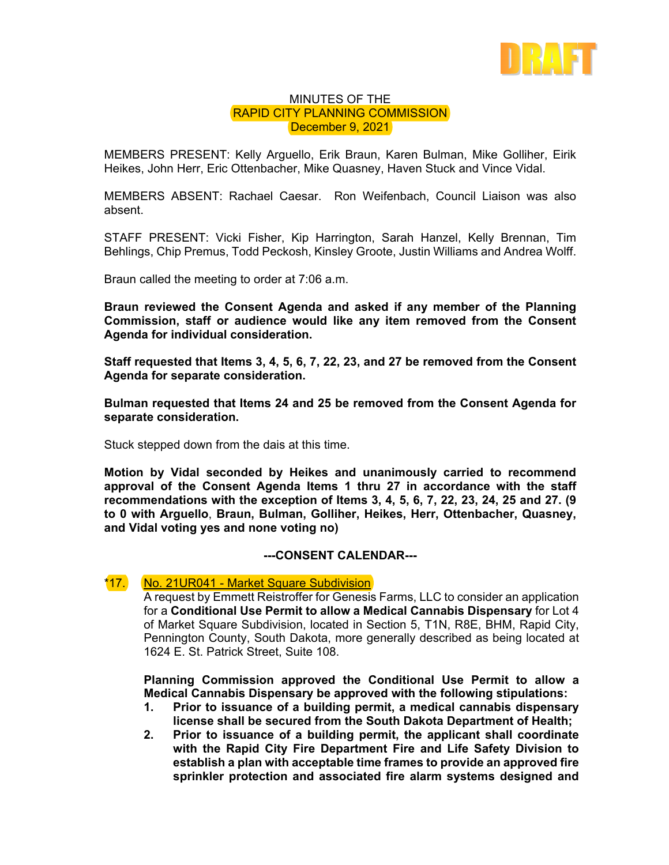

## MINUTES OF THE RAPID CITY PLANNING COMMISSION December 9, 2021

MEMBERS PRESENT: Kelly Arguello, Erik Braun, Karen Bulman, Mike Golliher, Eirik Heikes, John Herr, Eric Ottenbacher, Mike Quasney, Haven Stuck and Vince Vidal.

MEMBERS ABSENT: Rachael Caesar. Ron Weifenbach, Council Liaison was also absent.

STAFF PRESENT: Vicki Fisher, Kip Harrington, Sarah Hanzel, Kelly Brennan, Tim Behlings, Chip Premus, Todd Peckosh, Kinsley Groote, Justin Williams and Andrea Wolff.

Braun called the meeting to order at 7:06 a.m.

**Braun reviewed the Consent Agenda and asked if any member of the Planning Commission, staff or audience would like any item removed from the Consent Agenda for individual consideration.** 

**Staff requested that Items 3, 4, 5, 6, 7, 22, 23, and 27 be removed from the Consent Agenda for separate consideration.** 

**Bulman requested that Items 24 and 25 be removed from the Consent Agenda for separate consideration.** 

Stuck stepped down from the dais at this time.

**Motion by Vidal seconded by Heikes and unanimously carried to recommend approval of the Consent Agenda Items 1 thru 27 in accordance with the staff recommendations with the exception of Items 3, 4, 5, 6, 7, 22, 23, 24, 25 and 27. (9 to 0 with Arguello**, **Braun, Bulman, Golliher, Heikes, Herr, Ottenbacher, Quasney, and Vidal voting yes and none voting no)** 

## **---CONSENT CALENDAR---**

## \*17. No. 21UR041 - Market Square Subdivision

A request by Emmett Reistroffer for Genesis Farms, LLC to consider an application for a **Conditional Use Permit to allow a Medical Cannabis Dispensary** for Lot 4 of Market Square Subdivision, located in Section 5, T1N, R8E, BHM, Rapid City, Pennington County, South Dakota, more generally described as being located at 1624 E. St. Patrick Street, Suite 108.

**Planning Commission approved the Conditional Use Permit to allow a Medical Cannabis Dispensary be approved with the following stipulations:** 

- **1. Prior to issuance of a building permit, a medical cannabis dispensary license shall be secured from the South Dakota Department of Health;**
- **2. Prior to issuance of a building permit, the applicant shall coordinate with the Rapid City Fire Department Fire and Life Safety Division to establish a plan with acceptable time frames to provide an approved fire sprinkler protection and associated fire alarm systems designed and**